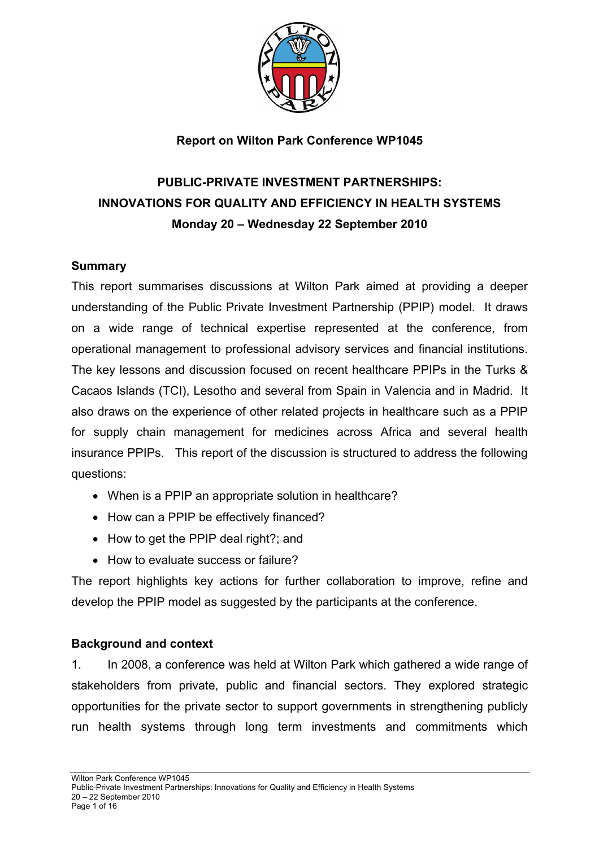

### **Report on Wilton Park Conference WP1045**

# **PUBLIC-PRIVATE INVESTMENT PARTNERSHIPS: INNOVATIONS FOR QUALITY AND EFFICIENCY IN HEALTH SYSTEMS Monday 20 – Wednesday 22 September 2010**

#### **Summary**

This report summarises discussions at Wilton Park aimed at providing a deeper understanding of the Public Private Investment Partnership (PPIP) model. It draws on a wide range of technical expertise represented at the conference, from operational management to professional advisory services and financial institutions. The key lessons and discussion focused on recent healthcare PPIPs in the Turks & Cacaos Islands (TCI), Lesotho and several from Spain in Valencia and in Madrid. It also draws on the experience of other related projects in healthcare such as a PPIP for supply chain management for medicines across Africa and several health insurance PPIPs. This report of the discussion is structured to address the following questions:

- When is a PPIP an appropriate solution in healthcare?
- How can a PPIP be effectively financed?
- How to get the PPIP deal right?; and
- How to evaluate success or failure?

The report highlights key actions for further collaboration to improve, refine and develop the PPIP model as suggested by the participants at the conference.

#### **Background and context**

1. In 2008, a conference was held at Wilton Park which gathered a wide range of stakeholders from private, public and financial sectors. They explored strategic opportunities for the private sector to support governments in strengthening publicly run health systems through long term investments and commitments which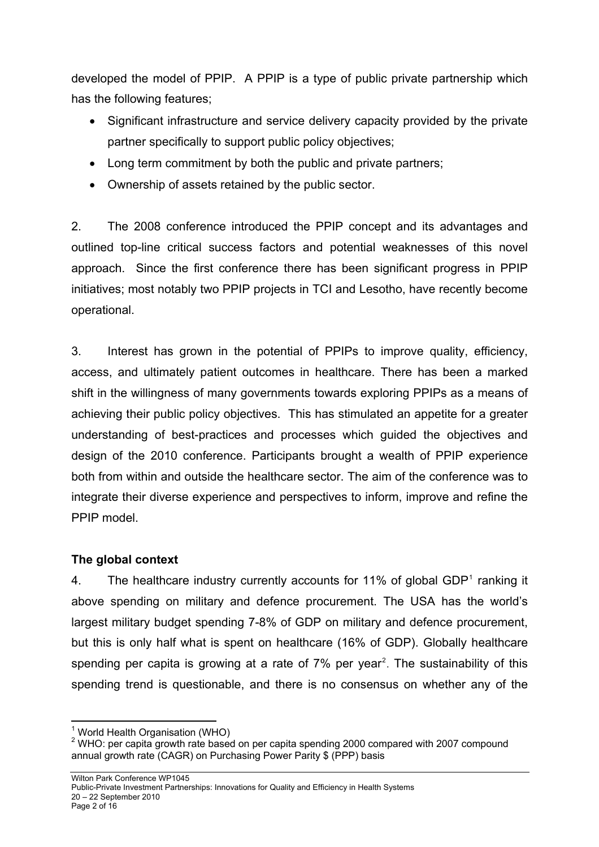developed the model of PPIP. A PPIP is a type of public private partnership which has the following features;

- Significant infrastructure and service delivery capacity provided by the private partner specifically to support public policy objectives;
- Long term commitment by both the public and private partners;
- Ownership of assets retained by the public sector.

2. The 2008 conference introduced the PPIP concept and its advantages and outlined top-line critical success factors and potential weaknesses of this novel approach. Since the first conference there has been significant progress in PPIP initiatives; most notably two PPIP projects in TCI and Lesotho, have recently become operational.

3. Interest has grown in the potential of PPIPs to improve quality, efficiency, access, and ultimately patient outcomes in healthcare. There has been a marked shift in the willingness of many governments towards exploring PPIPs as a means of achieving their public policy objectives. This has stimulated an appetite for a greater understanding of best-practices and processes which guided the objectives and design of the 2010 conference. Participants brought a wealth of PPIP experience both from within and outside the healthcare sector. The aim of the conference was to integrate their diverse experience and perspectives to inform, improve and refine the PPIP model.

## **The global context**

4. The healthcare industry currently accounts for [1](#page-1-0)1% of global GDP $<sup>1</sup>$  ranking it</sup> above spending on military and defence procurement. The USA has the world's largest military budget spending 7-8% of GDP on military and defence procurement, but this is only half what is spent on healthcare (16% of GDP). Globally healthcare spending per capita is growing at a rate of  $7\%$  per year<sup>[2](#page-1-1)</sup>. The sustainability of this spending trend is questionable, and there is no consensus on whether any of the

l <sup>1</sup> World Health Organisation (WHO)

<span id="page-1-1"></span><span id="page-1-0"></span> $2$  WHO: per capita growth rate based on per capita spending 2000 compared with 2007 compound annual growth rate (CAGR) on Purchasing Power Parity \$ (PPP) basis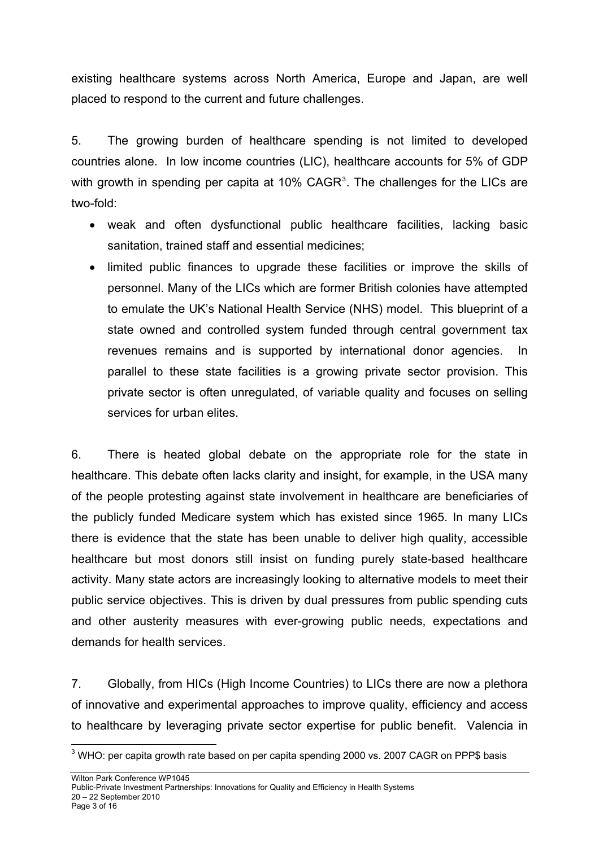existing healthcare systems across North America, Europe and Japan, are well placed to respond to the current and future challenges.

5. The growing burden of healthcare spending is not limited to developed countries alone. In low income countries (LIC), healthcare accounts for 5% of GDP with growth in spending per capita at 10%  $CAGR<sup>3</sup>$  $CAGR<sup>3</sup>$  $CAGR<sup>3</sup>$ . The challenges for the LICs are two-fold:

- weak and often dysfunctional public healthcare facilities, lacking basic sanitation, trained staff and essential medicines;
- limited public finances to upgrade these facilities or improve the skills of personnel. Many of the LICs which are former British colonies have attempted to emulate the UK's National Health Service (NHS) model. This blueprint of a state owned and controlled system funded through central government tax revenues remains and is supported by international donor agencies. In parallel to these state facilities is a growing private sector provision. This private sector is often unregulated, of variable quality and focuses on selling services for urban elites.

6. There is heated global debate on the appropriate role for the state in healthcare. This debate often lacks clarity and insight, for example, in the USA many of the people protesting against state involvement in healthcare are beneficiaries of the publicly funded Medicare system which has existed since 1965. In many LICs there is evidence that the state has been unable to deliver high quality, accessible healthcare but most donors still insist on funding purely state-based healthcare activity. Many state actors are increasingly looking to alternative models to meet their public service objectives. This is driven by dual pressures from public spending cuts and other austerity measures with ever-growing public needs, expectations and demands for health services.

7. Globally, from HICs (High Income Countries) to LICs there are now a plethora of innovative and experimental approaches to improve quality, efficiency and access to healthcare by leveraging private sector expertise for public benefit. Valencia in

<span id="page-2-0"></span>l  $^3$  WHO: per capita growth rate based on per capita spending 2000 vs. 2007 CAGR on PPP\$ basis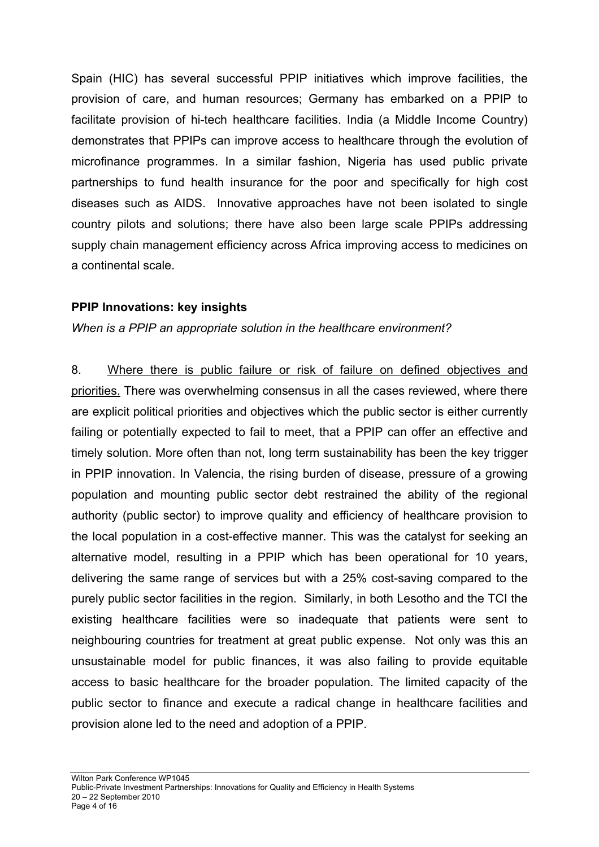Spain (HIC) has several successful PPIP initiatives which improve facilities, the provision of care, and human resources; Germany has embarked on a PPIP to facilitate provision of hi-tech healthcare facilities. India (a Middle Income Country) demonstrates that PPIPs can improve access to healthcare through the evolution of microfinance programmes. In a similar fashion, Nigeria has used public private partnerships to fund health insurance for the poor and specifically for high cost diseases such as AIDS. Innovative approaches have not been isolated to single country pilots and solutions; there have also been large scale PPIPs addressing supply chain management efficiency across Africa improving access to medicines on a continental scale.

### **PPIP Innovations: key insights**

*When is a PPIP an appropriate solution in the healthcare environment?* 

8. Where there is public failure or risk of failure on defined objectives and priorities. There was overwhelming consensus in all the cases reviewed, where there are explicit political priorities and objectives which the public sector is either currently failing or potentially expected to fail to meet, that a PPIP can offer an effective and timely solution. More often than not, long term sustainability has been the key trigger in PPIP innovation. In Valencia, the rising burden of disease, pressure of a growing population and mounting public sector debt restrained the ability of the regional authority (public sector) to improve quality and efficiency of healthcare provision to the local population in a cost-effective manner. This was the catalyst for seeking an alternative model, resulting in a PPIP which has been operational for 10 years, delivering the same range of services but with a 25% cost-saving compared to the purely public sector facilities in the region. Similarly, in both Lesotho and the TCI the existing healthcare facilities were so inadequate that patients were sent to neighbouring countries for treatment at great public expense. Not only was this an unsustainable model for public finances, it was also failing to provide equitable access to basic healthcare for the broader population. The limited capacity of the public sector to finance and execute a radical change in healthcare facilities and provision alone led to the need and adoption of a PPIP.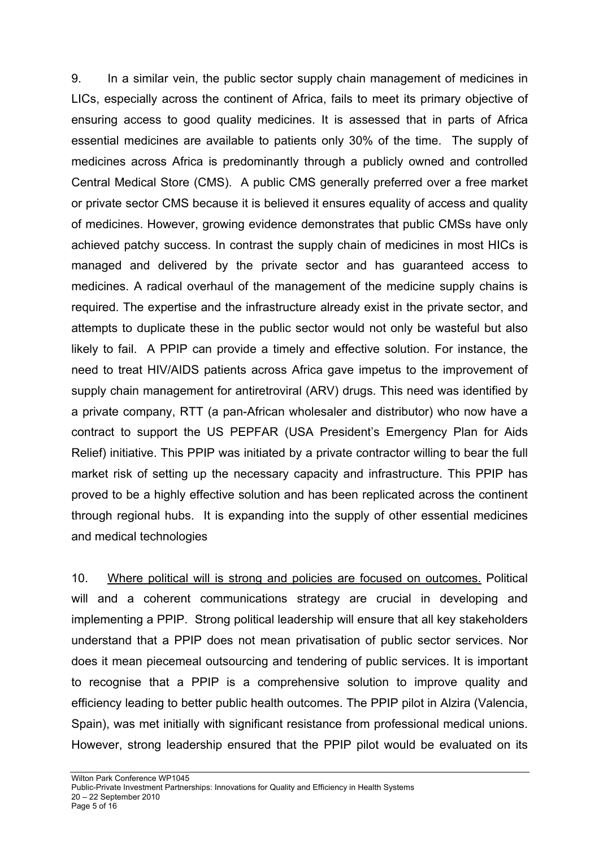9. In a similar vein, the public sector supply chain management of medicines in LICs, especially across the continent of Africa, fails to meet its primary objective of ensuring access to good quality medicines. It is assessed that in parts of Africa essential medicines are available to patients only 30% of the time. The supply of medicines across Africa is predominantly through a publicly owned and controlled Central Medical Store (CMS). A public CMS generally preferred over a free market or private sector CMS because it is believed it ensures equality of access and quality of medicines. However, growing evidence demonstrates that public CMSs have only achieved patchy success. In contrast the supply chain of medicines in most HICs is managed and delivered by the private sector and has guaranteed access to medicines. A radical overhaul of the management of the medicine supply chains is required. The expertise and the infrastructure already exist in the private sector, and attempts to duplicate these in the public sector would not only be wasteful but also likely to fail. A PPIP can provide a timely and effective solution. For instance, the need to treat HIV/AIDS patients across Africa gave impetus to the improvement of supply chain management for antiretroviral (ARV) drugs. This need was identified by a private company, RTT (a pan-African wholesaler and distributor) who now have a contract to support the US PEPFAR (USA President's Emergency Plan for Aids Relief) initiative. This PPIP was initiated by a private contractor willing to bear the full market risk of setting up the necessary capacity and infrastructure. This PPIP has proved to be a highly effective solution and has been replicated across the continent through regional hubs. It is expanding into the supply of other essential medicines and medical technologies

10. Where political will is strong and policies are focused on outcomes. Political will and a coherent communications strategy are crucial in developing and implementing a PPIP. Strong political leadership will ensure that all key stakeholders understand that a PPIP does not mean privatisation of public sector services. Nor does it mean piecemeal outsourcing and tendering of public services. It is important to recognise that a PPIP is a comprehensive solution to improve quality and efficiency leading to better public health outcomes. The PPIP pilot in Alzira (Valencia, Spain), was met initially with significant resistance from professional medical unions. However, strong leadership ensured that the PPIP pilot would be evaluated on its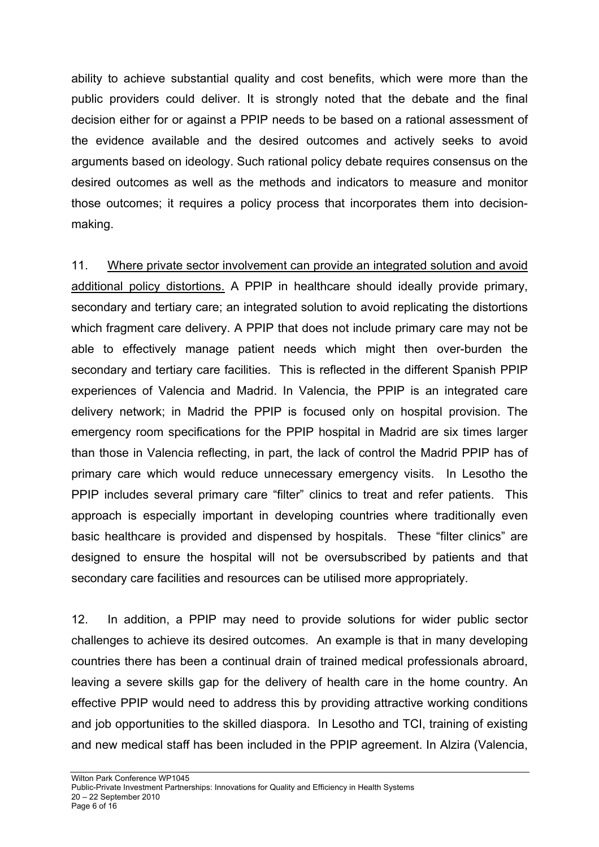ability to achieve substantial quality and cost benefits, which were more than the public providers could deliver. It is strongly noted that the debate and the final decision either for or against a PPIP needs to be based on a rational assessment of the evidence available and the desired outcomes and actively seeks to avoid arguments based on ideology. Such rational policy debate requires consensus on the desired outcomes as well as the methods and indicators to measure and monitor those outcomes; it requires a policy process that incorporates them into decisionmaking.

11. Where private sector involvement can provide an integrated solution and avoid additional policy distortions. A PPIP in healthcare should ideally provide primary, secondary and tertiary care; an integrated solution to avoid replicating the distortions which fragment care delivery. A PPIP that does not include primary care may not be able to effectively manage patient needs which might then over-burden the secondary and tertiary care facilities. This is reflected in the different Spanish PPIP experiences of Valencia and Madrid. In Valencia, the PPIP is an integrated care delivery network; in Madrid the PPIP is focused only on hospital provision. The emergency room specifications for the PPIP hospital in Madrid are six times larger than those in Valencia reflecting, in part, the lack of control the Madrid PPIP has of primary care which would reduce unnecessary emergency visits. In Lesotho the PPIP includes several primary care "filter" clinics to treat and refer patients. This approach is especially important in developing countries where traditionally even basic healthcare is provided and dispensed by hospitals. These "filter clinics" are designed to ensure the hospital will not be oversubscribed by patients and that secondary care facilities and resources can be utilised more appropriately.

12. In addition, a PPIP may need to provide solutions for wider public sector challenges to achieve its desired outcomes. An example is that in many developing countries there has been a continual drain of trained medical professionals abroard, leaving a severe skills gap for the delivery of health care in the home country. An effective PPIP would need to address this by providing attractive working conditions and job opportunities to the skilled diaspora. In Lesotho and TCI, training of existing and new medical staff has been included in the PPIP agreement. In Alzira (Valencia,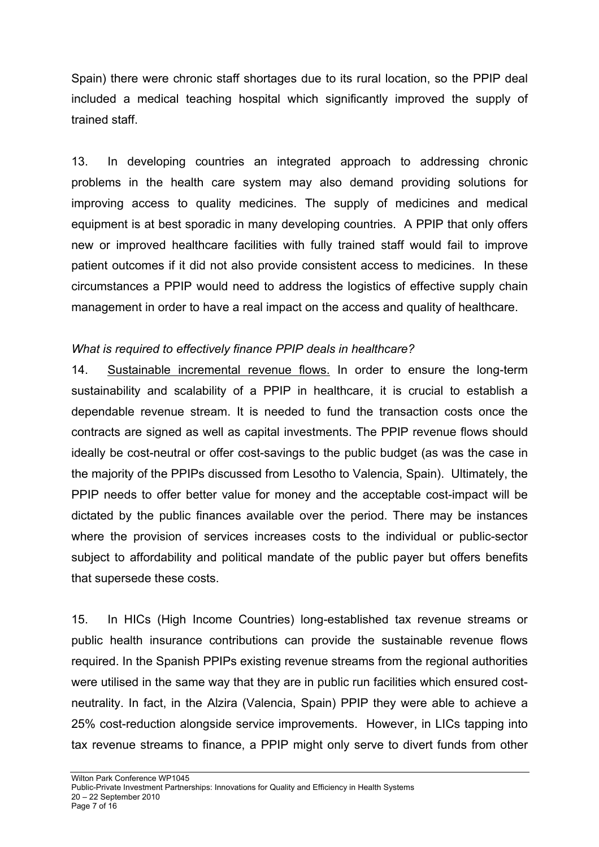Spain) there were chronic staff shortages due to its rural location, so the PPIP deal included a medical teaching hospital which significantly improved the supply of trained staff.

13. In developing countries an integrated approach to addressing chronic problems in the health care system may also demand providing solutions for improving access to quality medicines. The supply of medicines and medical equipment is at best sporadic in many developing countries. A PPIP that only offers new or improved healthcare facilities with fully trained staff would fail to improve patient outcomes if it did not also provide consistent access to medicines. In these circumstances a PPIP would need to address the logistics of effective supply chain management in order to have a real impact on the access and quality of healthcare.

### *What is required to effectively finance PPIP deals in healthcare?*

14. Sustainable incremental revenue flows. In order to ensure the long-term sustainability and scalability of a PPIP in healthcare, it is crucial to establish a dependable revenue stream. It is needed to fund the transaction costs once the contracts are signed as well as capital investments. The PPIP revenue flows should ideally be cost-neutral or offer cost-savings to the public budget (as was the case in the majority of the PPIPs discussed from Lesotho to Valencia, Spain). Ultimately, the PPIP needs to offer better value for money and the acceptable cost-impact will be dictated by the public finances available over the period. There may be instances where the provision of services increases costs to the individual or public-sector subject to affordability and political mandate of the public payer but offers benefits that supersede these costs.

15. In HICs (High Income Countries) long-established tax revenue streams or public health insurance contributions can provide the sustainable revenue flows required. In the Spanish PPIPs existing revenue streams from the regional authorities were utilised in the same way that they are in public run facilities which ensured costneutrality. In fact, in the Alzira (Valencia, Spain) PPIP they were able to achieve a 25% cost-reduction alongside service improvements. However, in LICs tapping into tax revenue streams to finance, a PPIP might only serve to divert funds from other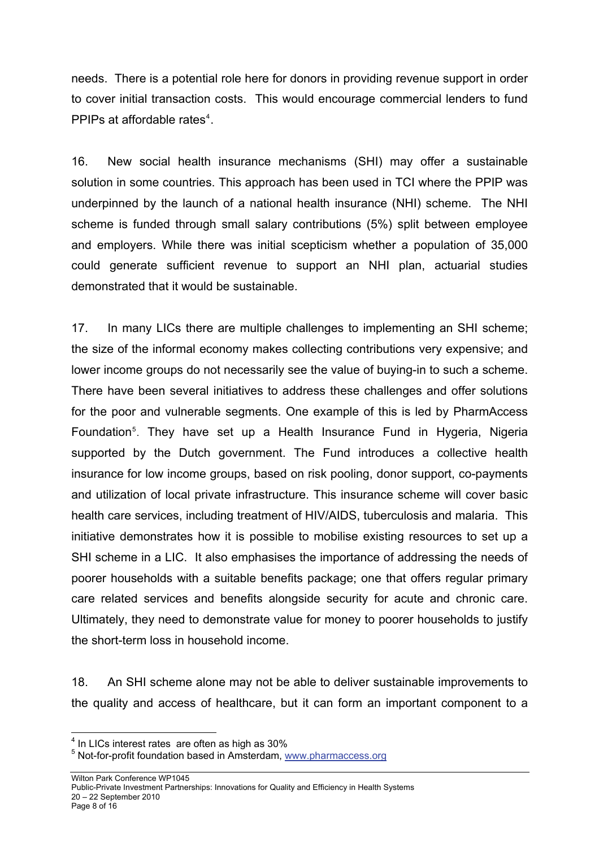needs. There is a potential role here for donors in providing revenue support in order to cover initial transaction costs. This would encourage commercial lenders to fund PPIPs at affordable rates<sup>[4](#page-7-0)</sup>.

16. New social health insurance mechanisms (SHI) may offer a sustainable solution in some countries. This approach has been used in TCI where the PPIP was underpinned by the launch of a national health insurance (NHI) scheme. The NHI scheme is funded through small salary contributions (5%) split between employee and employers. While there was initial scepticism whether a population of 35,000 could generate sufficient revenue to support an NHI plan, actuarial studies demonstrated that it would be sustainable.

17. In many LICs there are multiple challenges to implementing an SHI scheme; the size of the informal economy makes collecting contributions very expensive; and lower income groups do not necessarily see the value of buying-in to such a scheme. There have been several initiatives to address these challenges and offer solutions for the poor and vulnerable segments. One example of this is led by PharmAccess Foundation<sup>[5](#page-7-1)</sup>. They have set up a Health Insurance Fund in Hygeria, Nigeria supported by the Dutch government. The Fund introduces a collective health insurance for low income groups, based on risk pooling, donor support, co-payments and utilization of local private infrastructure. This insurance scheme will cover basic health care services, including treatment of HIV/AIDS, tuberculosis and malaria. This initiative demonstrates how it is possible to mobilise existing resources to set up a SHI scheme in a LIC. It also emphasises the importance of addressing the needs of poorer households with a suitable benefits package; one that offers regular primary care related services and benefits alongside security for acute and chronic care. Ultimately, they need to demonstrate value for money to poorer households to justify the short-term loss in household income.

18. An SHI scheme alone may not be able to deliver sustainable improvements to the quality and access of healthcare, but it can form an important component to a

entity and the mattem controlled in LICs interest rates are often as high as 30%.

<span id="page-7-1"></span><span id="page-7-0"></span><sup>&</sup>lt;sup>5</sup> Not-for-profit foundation based in Amsterdam, [www.pharmaccess.org](http://www.pharmaccess.org/)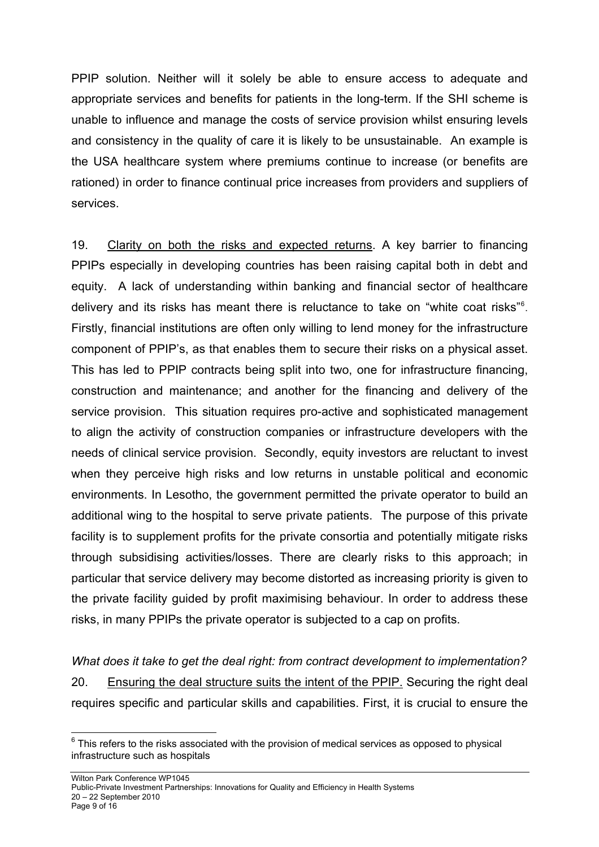PPIP solution. Neither will it solely be able to ensure access to adequate and appropriate services and benefits for patients in the long-term. If the SHI scheme is unable to influence and manage the costs of service provision whilst ensuring levels and consistency in the quality of care it is likely to be unsustainable. An example is the USA healthcare system where premiums continue to increase (or benefits are rationed) in order to finance continual price increases from providers and suppliers of services.

19. Clarity on both the risks and expected returns. A key barrier to financing PPIPs especially in developing countries has been raising capital both in debt and equity. A lack of understanding within banking and financial sector of healthcare delivery and its risks has meant there is reluctance to take on "white coat risks"<sup>[6](#page-8-0)</sup>. Firstly, financial institutions are often only willing to lend money for the infrastructure component of PPIP's, as that enables them to secure their risks on a physical asset. This has led to PPIP contracts being split into two, one for infrastructure financing, construction and maintenance; and another for the financing and delivery of the service provision. This situation requires pro-active and sophisticated management to align the activity of construction companies or infrastructure developers with the needs of clinical service provision. Secondly, equity investors are reluctant to invest when they perceive high risks and low returns in unstable political and economic environments. In Lesotho, the government permitted the private operator to build an additional wing to the hospital to serve private patients. The purpose of this private facility is to supplement profits for the private consortia and potentially mitigate risks through subsidising activities/losses. There are clearly risks to this approach; in particular that service delivery may become distorted as increasing priority is given to the private facility guided by profit maximising behaviour. In order to address these risks, in many PPIPs the private operator is subjected to a cap on profits.

*What does it take to get the deal right: from contract development to implementation?*  20. Ensuring the deal structure suits the intent of the PPIP. Securing the right deal requires specific and particular skills and capabilities. First, it is crucial to ensure the

<span id="page-8-0"></span>l  $6$  This refers to the risks associated with the provision of medical services as opposed to physical infrastructure such as hospitals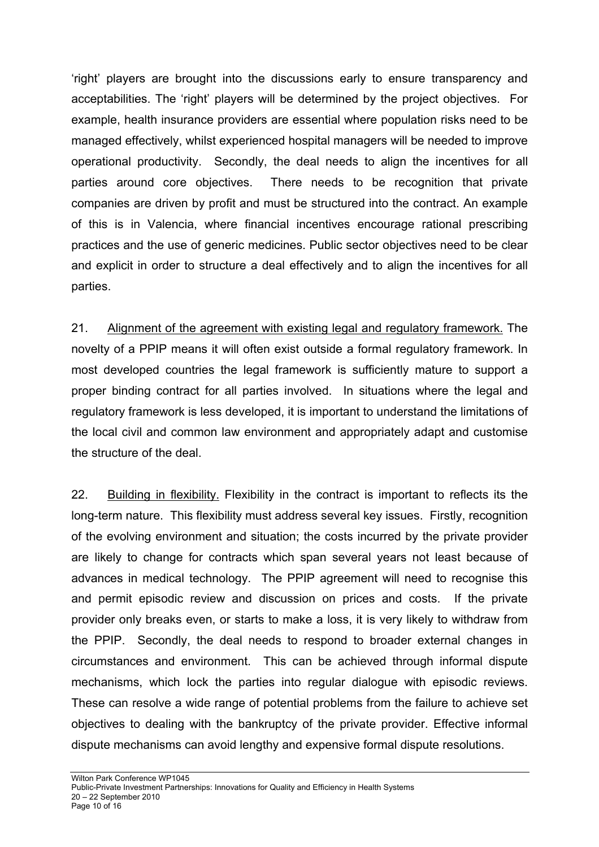'right' players are brought into the discussions early to ensure transparency and acceptabilities. The 'right' players will be determined by the project objectives. For example, health insurance providers are essential where population risks need to be managed effectively, whilst experienced hospital managers will be needed to improve operational productivity. Secondly, the deal needs to align the incentives for all parties around core objectives. There needs to be recognition that private companies are driven by profit and must be structured into the contract. An example of this is in Valencia, where financial incentives encourage rational prescribing practices and the use of generic medicines. Public sector objectives need to be clear and explicit in order to structure a deal effectively and to align the incentives for all parties.

21. Alignment of the agreement with existing legal and regulatory framework. The novelty of a PPIP means it will often exist outside a formal regulatory framework. In most developed countries the legal framework is sufficiently mature to support a proper binding contract for all parties involved. In situations where the legal and regulatory framework is less developed, it is important to understand the limitations of the local civil and common law environment and appropriately adapt and customise the structure of the deal.

22. Building in flexibility. Flexibility in the contract is important to reflects its the long-term nature. This flexibility must address several key issues. Firstly, recognition of the evolving environment and situation; the costs incurred by the private provider are likely to change for contracts which span several years not least because of advances in medical technology. The PPIP agreement will need to recognise this and permit episodic review and discussion on prices and costs. If the private provider only breaks even, or starts to make a loss, it is very likely to withdraw from the PPIP. Secondly, the deal needs to respond to broader external changes in circumstances and environment. This can be achieved through informal dispute mechanisms, which lock the parties into regular dialogue with episodic reviews. These can resolve a wide range of potential problems from the failure to achieve set objectives to dealing with the bankruptcy of the private provider. Effective informal dispute mechanisms can avoid lengthy and expensive formal dispute resolutions.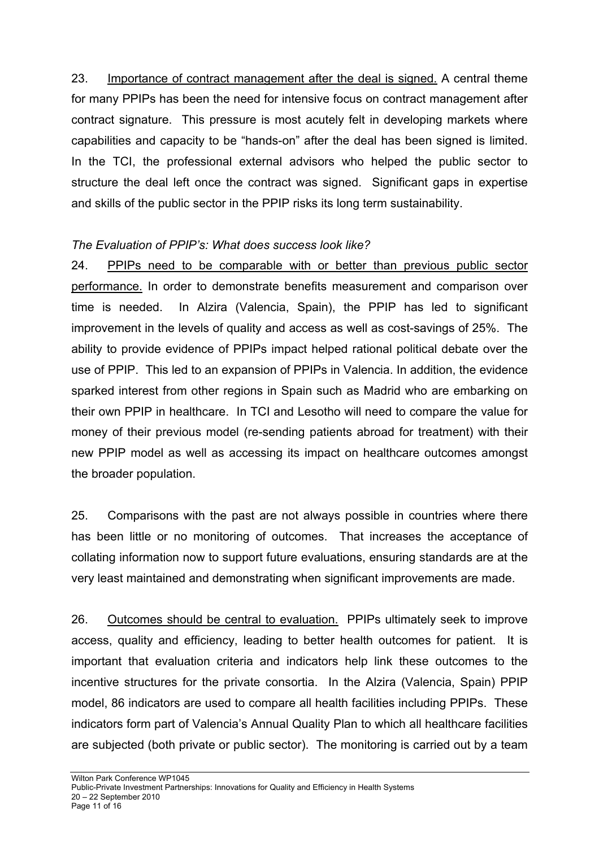23. Importance of contract management after the deal is signed. A central theme for many PPIPs has been the need for intensive focus on contract management after contract signature. This pressure is most acutely felt in developing markets where capabilities and capacity to be "hands-on" after the deal has been signed is limited. In the TCI, the professional external advisors who helped the public sector to structure the deal left once the contract was signed. Significant gaps in expertise and skills of the public sector in the PPIP risks its long term sustainability.

## *The Evaluation of PPIP's: What does success look like?*

24. PPIPs need to be comparable with or better than previous public sector performance. In order to demonstrate benefits measurement and comparison over time is needed. In Alzira (Valencia, Spain), the PPIP has led to significant improvement in the levels of quality and access as well as cost-savings of 25%. The ability to provide evidence of PPIPs impact helped rational political debate over the use of PPIP. This led to an expansion of PPIPs in Valencia. In addition, the evidence sparked interest from other regions in Spain such as Madrid who are embarking on their own PPIP in healthcare. In TCI and Lesotho will need to compare the value for money of their previous model (re-sending patients abroad for treatment) with their new PPIP model as well as accessing its impact on healthcare outcomes amongst the broader population.

25. Comparisons with the past are not always possible in countries where there has been little or no monitoring of outcomes. That increases the acceptance of collating information now to support future evaluations, ensuring standards are at the very least maintained and demonstrating when significant improvements are made.

26. Outcomes should be central to evaluation. PPIPs ultimately seek to improve access, quality and efficiency, leading to better health outcomes for patient. It is important that evaluation criteria and indicators help link these outcomes to the incentive structures for the private consortia. In the Alzira (Valencia, Spain) PPIP model, 86 indicators are used to compare all health facilities including PPIPs. These indicators form part of Valencia's Annual Quality Plan to which all healthcare facilities are subjected (both private or public sector). The monitoring is carried out by a team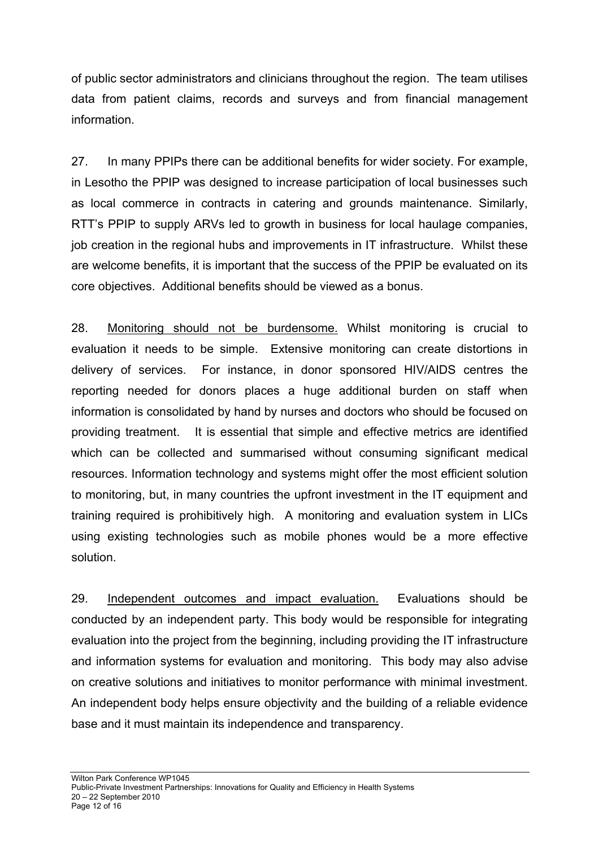of public sector administrators and clinicians throughout the region. The team utilises data from patient claims, records and surveys and from financial management information.

27. In many PPIPs there can be additional benefits for wider society. For example, in Lesotho the PPIP was designed to increase participation of local businesses such as local commerce in contracts in catering and grounds maintenance. Similarly, RTT's PPIP to supply ARVs led to growth in business for local haulage companies, job creation in the regional hubs and improvements in IT infrastructure. Whilst these are welcome benefits, it is important that the success of the PPIP be evaluated on its core objectives. Additional benefits should be viewed as a bonus.

28. Monitoring should not be burdensome. Whilst monitoring is crucial to evaluation it needs to be simple. Extensive monitoring can create distortions in delivery of services. For instance, in donor sponsored HIV/AIDS centres the reporting needed for donors places a huge additional burden on staff when information is consolidated by hand by nurses and doctors who should be focused on providing treatment. It is essential that simple and effective metrics are identified which can be collected and summarised without consuming significant medical resources. Information technology and systems might offer the most efficient solution to monitoring, but, in many countries the upfront investment in the IT equipment and training required is prohibitively high. A monitoring and evaluation system in LICs using existing technologies such as mobile phones would be a more effective solution.

29. Independent outcomes and impact evaluation. Evaluations should be conducted by an independent party. This body would be responsible for integrating evaluation into the project from the beginning, including providing the IT infrastructure and information systems for evaluation and monitoring. This body may also advise on creative solutions and initiatives to monitor performance with minimal investment. An independent body helps ensure objectivity and the building of a reliable evidence base and it must maintain its independence and transparency.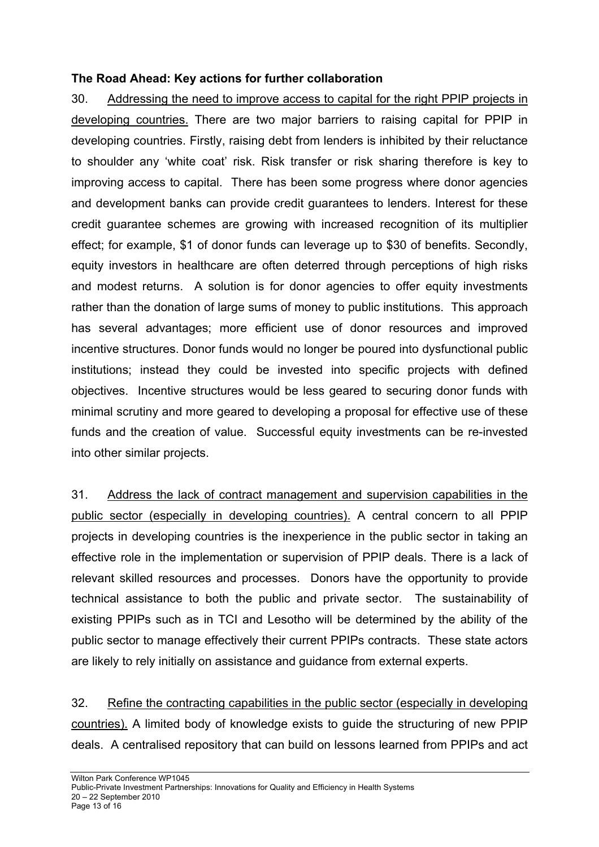#### **The Road Ahead: Key actions for further collaboration**

30. Addressing the need to improve access to capital for the right PPIP projects in developing countries. There are two major barriers to raising capital for PPIP in developing countries. Firstly, raising debt from lenders is inhibited by their reluctance to shoulder any 'white coat' risk. Risk transfer or risk sharing therefore is key to improving access to capital. There has been some progress where donor agencies and development banks can provide credit guarantees to lenders. Interest for these credit guarantee schemes are growing with increased recognition of its multiplier effect; for example, \$1 of donor funds can leverage up to \$30 of benefits. Secondly, equity investors in healthcare are often deterred through perceptions of high risks and modest returns. A solution is for donor agencies to offer equity investments rather than the donation of large sums of money to public institutions. This approach has several advantages; more efficient use of donor resources and improved incentive structures. Donor funds would no longer be poured into dysfunctional public institutions; instead they could be invested into specific projects with defined objectives. Incentive structures would be less geared to securing donor funds with minimal scrutiny and more geared to developing a proposal for effective use of these funds and the creation of value. Successful equity investments can be re-invested into other similar projects.

31. Address the lack of contract management and supervision capabilities in the public sector (especially in developing countries). A central concern to all PPIP projects in developing countries is the inexperience in the public sector in taking an effective role in the implementation or supervision of PPIP deals. There is a lack of relevant skilled resources and processes. Donors have the opportunity to provide technical assistance to both the public and private sector. The sustainability of existing PPIPs such as in TCI and Lesotho will be determined by the ability of the public sector to manage effectively their current PPIPs contracts. These state actors are likely to rely initially on assistance and guidance from external experts.

32. Refine the contracting capabilities in the public sector (especially in developing countries). A limited body of knowledge exists to guide the structuring of new PPIP deals. A centralised repository that can build on lessons learned from PPIPs and act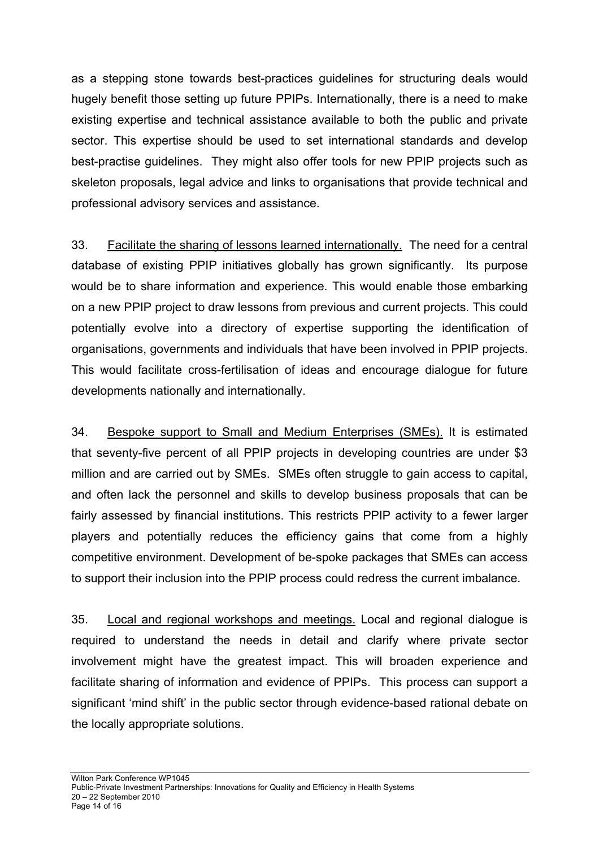as a stepping stone towards best-practices guidelines for structuring deals would hugely benefit those setting up future PPIPs. Internationally, there is a need to make existing expertise and technical assistance available to both the public and private sector. This expertise should be used to set international standards and develop best-practise guidelines. They might also offer tools for new PPIP projects such as skeleton proposals, legal advice and links to organisations that provide technical and professional advisory services and assistance.

33. Facilitate the sharing of lessons learned internationally. The need for a central database of existing PPIP initiatives globally has grown significantly. Its purpose would be to share information and experience. This would enable those embarking on a new PPIP project to draw lessons from previous and current projects. This could potentially evolve into a directory of expertise supporting the identification of organisations, governments and individuals that have been involved in PPIP projects. This would facilitate cross-fertilisation of ideas and encourage dialogue for future developments nationally and internationally.

34. Bespoke support to Small and Medium Enterprises (SMEs). It is estimated that seventy-five percent of all PPIP projects in developing countries are under \$3 million and are carried out by SMEs. SMEs often struggle to gain access to capital, and often lack the personnel and skills to develop business proposals that can be fairly assessed by financial institutions. This restricts PPIP activity to a fewer larger players and potentially reduces the efficiency gains that come from a highly competitive environment. Development of be-spoke packages that SMEs can access to support their inclusion into the PPIP process could redress the current imbalance.

35. Local and regional workshops and meetings. Local and regional dialogue is required to understand the needs in detail and clarify where private sector involvement might have the greatest impact. This will broaden experience and facilitate sharing of information and evidence of PPIPs. This process can support a significant 'mind shift' in the public sector through evidence-based rational debate on the locally appropriate solutions.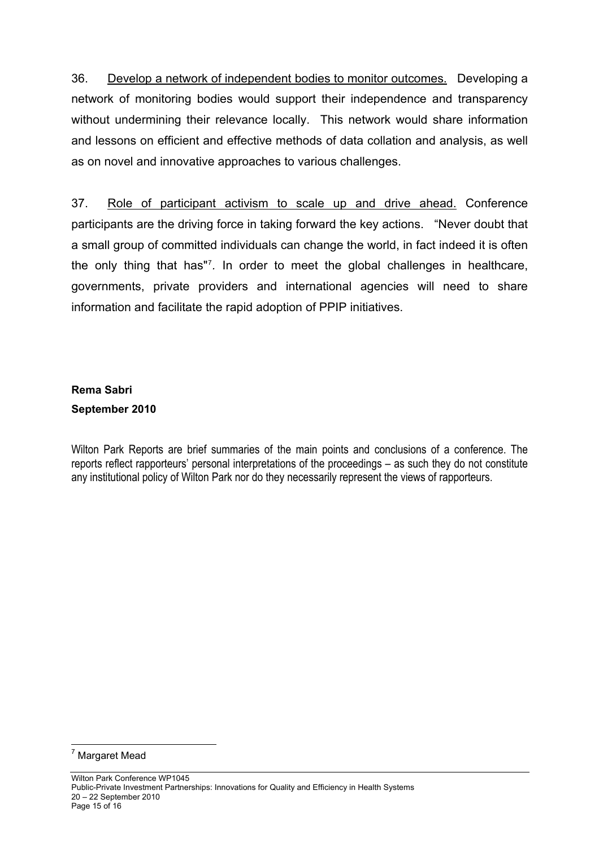36. Develop a network of independent bodies to monitor outcomes. Developing a network of monitoring bodies would support their independence and transparency without undermining their relevance locally. This network would share information and lessons on efficient and effective methods of data collation and analysis, as well as on novel and innovative approaches to various challenges.

37. Role of participant activism to scale up and drive ahead. Conference participants are the driving force in taking forward the key actions. "Never doubt that a small group of committed individuals can change the world, in fact indeed it is often the only thing that has"[7](#page-14-0) *.* In order to meet the global challenges in healthcare, governments, private providers and international agencies will need to share information and facilitate the rapid adoption of PPIP initiatives.

# **Rema Sabri September 2010**

Wilton Park Reports are brief summaries of the main points and conclusions of a conference. The reports reflect rapporteurs' personal interpretations of the proceedings – as such they do not constitute any institutional policy of Wilton Park nor do they necessarily represent the views of rapporteurs.

<span id="page-14-0"></span>l <sup>7</sup> Margaret Mead